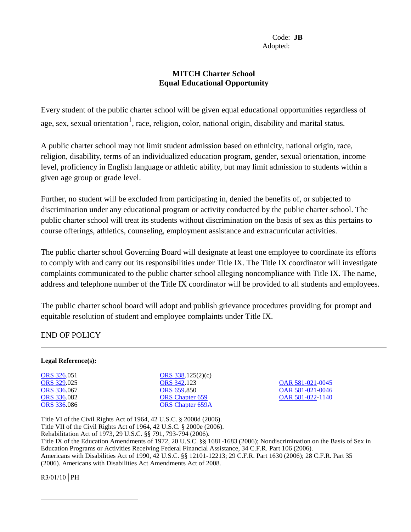## **MITCH Charter School Equal Educational Opportunity**

Every student of the public charter school will be given equal educational opportunities regardless of age, sex, sexual orientation<sup>1</sup>, race, religion, color, national origin, disability and marital status.

A public charter school may not limit student admission based on ethnicity, national origin, race, religion, disability, terms of an individualized education program, gender, sexual orientation, income level, proficiency in English language or athletic ability, but may limit admission to students within a given age group or grade level.

Further, no student will be excluded from participating in, denied the benefits of, or subjected to discrimination under any educational program or activity conducted by the public charter school. The public charter school will treat its students without discrimination on the basis of sex as this pertains to course offerings, athletics, counseling, employment assistance and extracurricular activities.

The public charter school Governing Board will designate at least one employee to coordinate its efforts to comply with and carry out its responsibilities under Title IX. The Title IX coordinator will investigate complaints communicated to the public charter school alleging noncompliance with Title IX. The name, address and telephone number of the Title IX coordinator will be provided to all students and employees.

The public charter school board will adopt and publish grievance procedures providing for prompt and equitable resolution of student and employee complaints under Title IX.

END OF POLICY

## **Legal Reference(s):**

| <b>ORS</b> 326.051 |
|--------------------|
| <b>ORS</b> 329.025 |
| <b>ORS</b> 336.067 |
| <b>ORS</b> 336.082 |
| <b>ORS</b> 336.086 |

[ORS 338.](http://policy.osba.org/orsredir.asp?ors=ors-338)125(2)(c)<br>ORS 342.123 [ORS 659.](http://policy.osba.org/orsredir.asp?ors=ors-659)850 [OAR 581-021-0](http://policy.osba.org/orsredir.asp?ors=oar-581-021)046 [ORS Chapter 659](http://policy.osba.org/orsredir.asp?ors=ors-659) [OAR 581-022-1](http://policy.osba.org/orsredir.asp?ors=oar-581-022)140 [ORS Chapter 659A](http://policy.osba.org/orsredir.asp?ors=ors-659)

[ORS 329.](http://policy.osba.org/orsredir.asp?ors=ors-329)025 [ORS 342.](http://policy.osba.org/orsredir.asp?ors=ors-342)123 [OAR 581-021-0](http://policy.osba.org/orsredir.asp?ors=oar-581-021)045

Title VI of the Civil Rights Act of 1964, 42 U.S.C. § 2000d (2006). Title VII of the Civil Rights Act of 1964, 42 U.S.C. § 2000e (2006). Rehabilitation Act of 1973, 29 U.S.C. §§ 791, 793-794 (2006). Title IX of the Education Amendments of 1972, 20 U.S.C. §§ 1681-1683 (2006); Nondiscrimination on the Basis of Sex in Education Programs or Activities Receiving Federal Financial Assistance, 34 C.F.R. Part 106 (2006). Americans with Disabilities Act of 1990, 42 U.S.C. §§ 12101-12213; 29 C.F.R. Part 1630 (2006); 28 C.F.R. Part 35 (2006). Americans with Disabilities Act Amendments Act of 2008.

 $R3/01/10$  PH